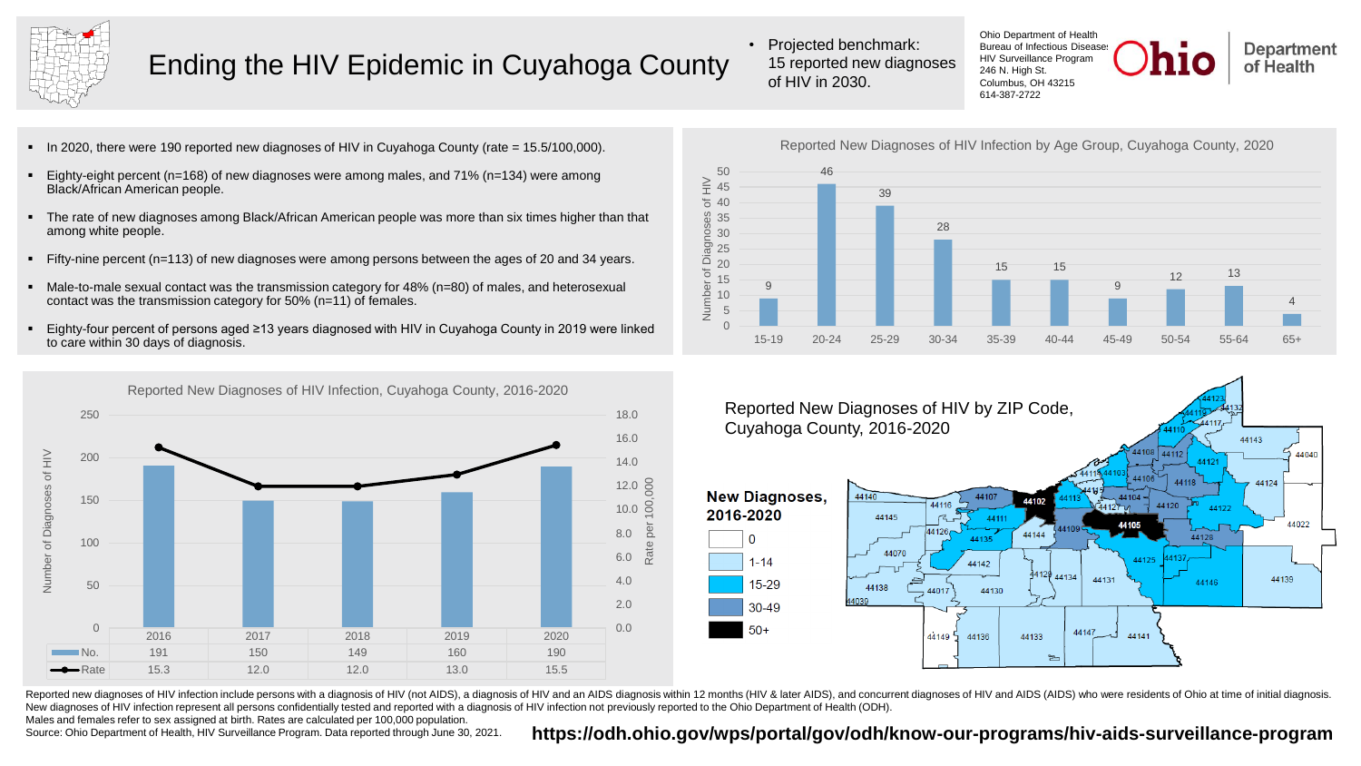

## Ending the HIV Epidemic in Cuyahoga County

• Projected benchmark: 15 reported new diagnoses of HIV in 2030.

Ohio Department of Health Bureau of Infectious Disease HIV Surveillance Program 246 N. High St. Columbus, OH 43215 614-387-2722



- In 2020, there were 190 reported new diagnoses of HIV in Cuyahoga County (rate = 15.5/100,000).
- Eighty-eight percent ( $n=168$ ) of new diagnoses were among males, and 71% ( $n=134$ ) were among Black/African American people.
- The rate of new diagnoses among Black/African American people was more than six times higher than that among white people.
- Fifty-nine percent (n=113) of new diagnoses were among persons between the ages of 20 and 34 years.
- Male-to-male sexual contact was the transmission category for 48% (n=80) of males, and heterosexual contact was the transmission category for 50% (n=11) of females.
- Eighty-four percent of persons aged ≥13 years diagnosed with HIV in Cuyahoga County in 2019 were linked to care within 30 days of diagnosis.



Reported New Diagnoses of HIV Infection, Cuyahoga County, 2016-2020

Reported New Diagnoses of HIV Infection by Age Group, Cuyahoga County, 202050 46  $\geqq$ 45 39  $540$ g 35 28  $\frac{8}{2}$  30





Reported new diagnoses of HIV infection include persons with a diagnosis of HIV (not AIDS), a diagnosis of HIV and an AIDS diagnosis within 12 months (HIV & later AIDS), and concurrent diagnoses of HIV and AIDS (AIDS) who New diagnoses of HIV infection represent all persons confidentially tested and reported with a diagnosis of HIV infection not previously reported to the Ohio Department of Health (ODH).

Males and females refer to sex assigned at birth. Rates are calculated per 100,000 population.

## Source: Ohio Department of Health, HIV Surveillance Program. Data reported through June 30, 2021. https://odh.ohio.gov/wps/portal/gov/odh/know-our-programs/hiv-aids-surveillance-program